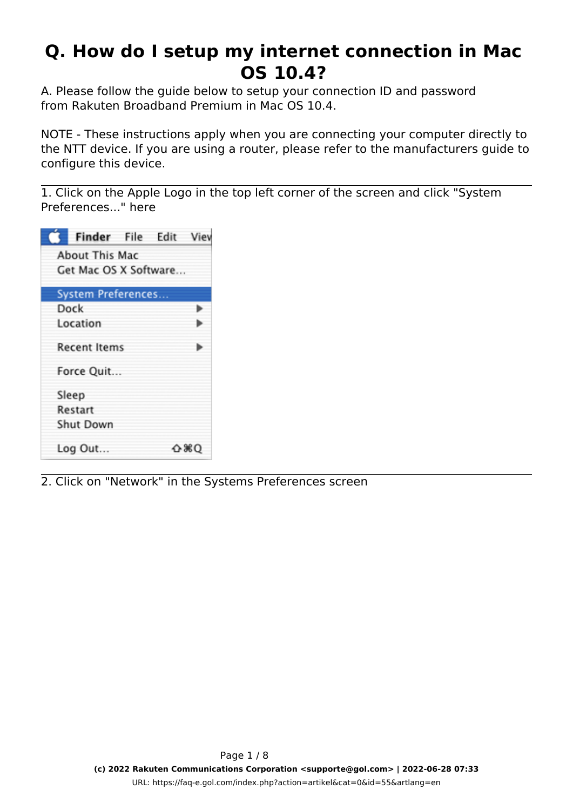## **Q. How do I setup my internet connection in Mac OS 10.4?**

A. Please follow the guide below to setup your connection ID and password from Rakuten Broadband Premium in Mac OS 10.4.

NOTE - These instructions apply when you are connecting your computer directly to the NTT device. If you are using a router, please refer to the manufacturers guide to configure this device.

1. Click on the Apple Logo in the top left corner of the screen and click "System Preferences..." here

| Finder File Edit Viev     |  |      |
|---------------------------|--|------|
| About This Mac            |  |      |
| Get Mac OS X Software     |  |      |
| <b>System Preferences</b> |  |      |
| Dock                      |  | ь    |
| Location                  |  |      |
| <b>Recent Items</b>       |  |      |
| Force Quit                |  |      |
| Sleep                     |  |      |
| Restart                   |  |      |
| Shut Down                 |  |      |
| Log Out                   |  | ∆ ≋Q |

2. Click on "Network" in the Systems Preferences screen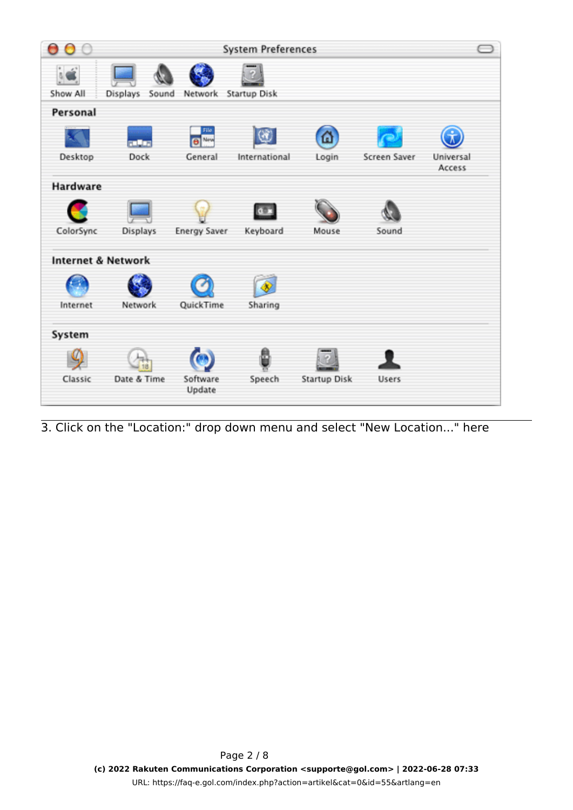|           |                               |                      | <b>System Preferences</b> |              |              |                     |
|-----------|-------------------------------|----------------------|---------------------------|--------------|--------------|---------------------|
| Show All  | Sound<br>Displays             | Network              | <b>Startup Disk</b>       |              |              |                     |
| Personal  |                               |                      |                           |              |              |                     |
|           | <b>FLASH</b>                  | File<br><b>B</b> New |                           | $\Omega$     |              |                     |
| Desktop   | Dock                          | General              | International             | Login        | Screen Saver | Universal<br>Access |
| Hardware  |                               |                      |                           |              |              |                     |
|           |                               |                      |                           |              |              |                     |
| ColorSync | Displays                      | <b>Energy Saver</b>  | Keyboard                  | Mouse        | Sound        |                     |
|           | <b>Internet &amp; Network</b> |                      |                           |              |              |                     |
|           |                               |                      |                           |              |              |                     |
| Internet  | Network                       | QuickTime            | Sharing                   |              |              |                     |
| System    |                               |                      |                           |              |              |                     |
|           |                               |                      | 준                         |              |              |                     |
| Classic   | Date & Time                   | Software<br>Update   | Speech                    | Startup Disk | <b>Users</b> |                     |

3. Click on the "Location:" drop down menu and select "New Location..." here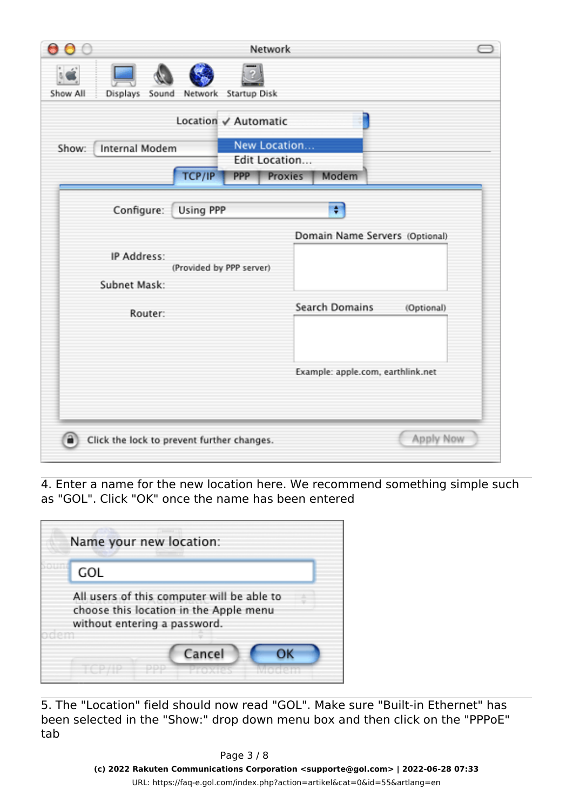| a                                          |                          |                     | Network                  |                |                                   |           |
|--------------------------------------------|--------------------------|---------------------|--------------------------|----------------|-----------------------------------|-----------|
|                                            |                          |                     |                          |                |                                   |           |
| Show All<br><b>Displays</b><br>Sound       | Network                  | <b>Startup Disk</b> |                          |                |                                   |           |
|                                            | Location √ Automatic     |                     |                          |                |                                   |           |
| <b>Internal Modem</b><br>Show:             |                          |                     | New Location             |                |                                   |           |
|                                            | TCP/IP                   | <b>PPP</b>          | Edit Location<br>Proxies | Modem          |                                   |           |
| Configure:                                 | Using PPP                |                     |                          | Ŧ              |                                   |           |
|                                            |                          |                     |                          |                | Domain Name Servers (Optional)    |           |
| IP Address:                                | (Provided by PPP server) |                     |                          |                |                                   |           |
| Subnet Mask:                               |                          |                     |                          |                |                                   |           |
| Router:                                    |                          |                     |                          | Search Domains | (Optional)                        |           |
|                                            |                          |                     |                          |                |                                   |           |
|                                            |                          |                     |                          |                |                                   |           |
|                                            |                          |                     |                          |                | Example: apple.com, earthlink.net |           |
|                                            |                          |                     |                          |                |                                   |           |
|                                            |                          |                     |                          |                |                                   |           |
| Click the lock to prevent further changes. |                          |                     |                          |                |                                   | Apply Now |

4. Enter a name for the new location here. We recommend something simple such as "GOL". Click "OK" once the name has been entered

|     | Name your new location:                                                                                              |
|-----|----------------------------------------------------------------------------------------------------------------------|
| GOL |                                                                                                                      |
|     | All users of this computer will be able to<br>choose this location in the Apple menu<br>without entering a password. |
|     | Cancel                                                                                                               |

5. The "Location" field should now read "GOL". Make sure "Built-in Ethernet" has been selected in the "Show:" drop down menu box and then click on the "PPPoE" tab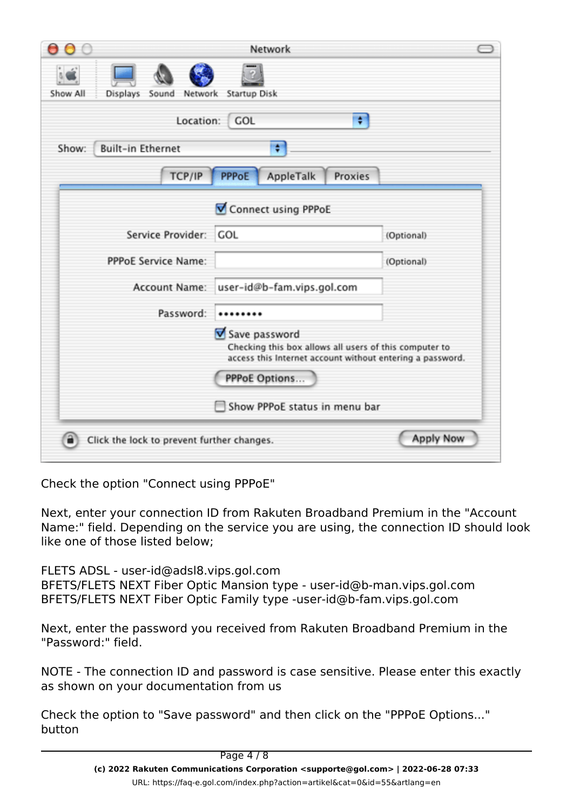|                                            | Network                                                                                                                                                      |                  |
|--------------------------------------------|--------------------------------------------------------------------------------------------------------------------------------------------------------------|------------------|
| Show All<br>Displays<br>Sound<br>Network   | <b>Startup Disk</b>                                                                                                                                          |                  |
| Location:                                  | ÷<br><b>GOL</b>                                                                                                                                              |                  |
| <b>Built-in Ethernet</b><br>Show:          | ÷                                                                                                                                                            |                  |
| TCP/IP                                     | <b>PPPoE</b><br>AppleTalk<br>Proxies                                                                                                                         |                  |
|                                            | Connect using PPPoE                                                                                                                                          |                  |
| Service Provider:                          | <b>GOL</b>                                                                                                                                                   | (Optional)       |
| <b>PPPoE Service Name:</b>                 |                                                                                                                                                              | (Optional)       |
| Account Name:                              | user-id@b-fam.vips.gol.com                                                                                                                                   |                  |
| Password:                                  |                                                                                                                                                              |                  |
|                                            | Save password<br>Checking this box allows all users of this computer to<br>access this Internet account without entering a password.<br><b>PPPoE Options</b> |                  |
|                                            | Show PPPoE status in menu bar                                                                                                                                |                  |
| Click the lock to prevent further changes. |                                                                                                                                                              | <b>Apply Now</b> |

Check the option "Connect using PPPoE"

Next, enter your connection ID from Rakuten Broadband Premium in the "Account Name:" field. Depending on the service you are using, the connection ID should look like one of those listed below;

FLETS ADSL - user-id@adsl8.vips.gol.com BFETS/FLETS NEXT Fiber Optic Mansion type - user-id@b-man.vips.gol.com BFETS/FLETS NEXT Fiber Optic Family type -user-id@b-fam.vips.gol.com

Next, enter the password you received from Rakuten Broadband Premium in the "Password:" field.

NOTE - The connection ID and password is case sensitive. Please enter this exactly as shown on your documentation from us

Check the option to "Save password" and then click on the "PPPoE Options..." button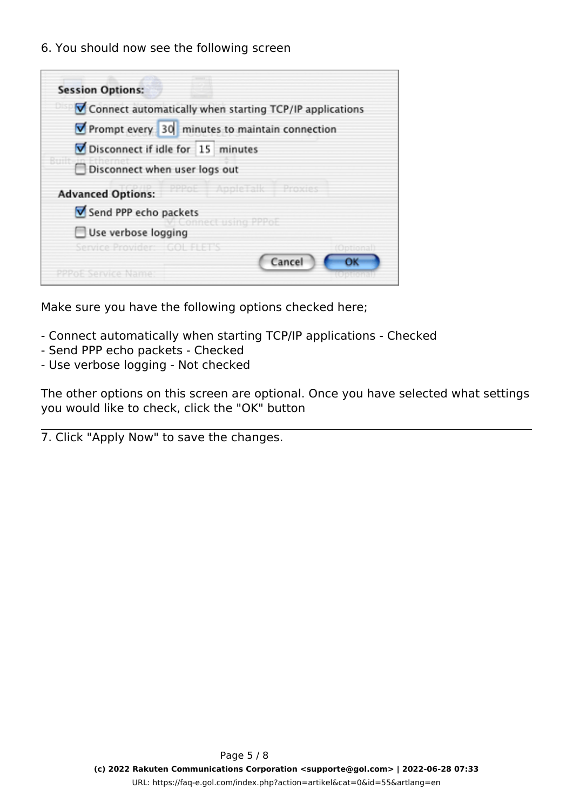6. You should now see the following screen

| <b>Session Options:</b>                                 |
|---------------------------------------------------------|
| Connect automatically when starting TCP/IP applications |
| Prompt every 30 minutes to maintain connection          |
| Disconnect if idle for 15 minutes                       |
| Disconnect when user logs out                           |
| PPPoE AppleTalk Proxies<br><b>Advanced Options:</b>     |
| Send PPP echo packets                                   |
| onnect using PP<br>Use verbose logging                  |
| Service Provider:   GOL FLET'S<br>fOntional             |
| Cancel<br>ОК<br>PPPoF Service Name                      |

Make sure you have the following options checked here;

- Connect automatically when starting TCP/IP applications Checked
- Send PPP echo packets Checked
- Use verbose logging Not checked

The other options on this screen are optional. Once you have selected what settings you would like to check, click the "OK" button

7. Click "Apply Now" to save the changes.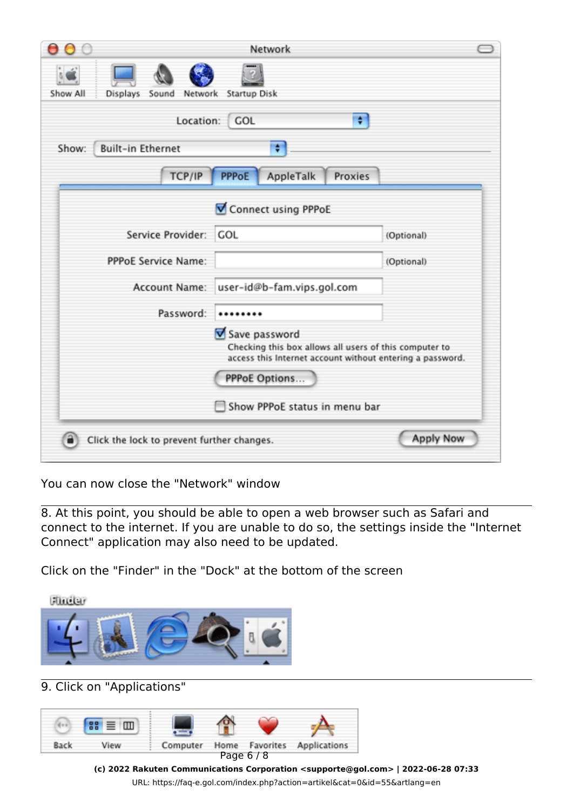| Θ                                               | Network                                                                                                                                                      |                  |
|-------------------------------------------------|--------------------------------------------------------------------------------------------------------------------------------------------------------------|------------------|
| Show All<br><b>Displays</b><br>Sound<br>Network | <b>Startup Disk</b>                                                                                                                                          |                  |
| Location:                                       | ÷<br>GOL                                                                                                                                                     |                  |
| <b>Built-in Ethernet</b><br>Show:               | ٠                                                                                                                                                            |                  |
| TCP/IP                                          | <b>PPPoE</b><br>AppleTalk<br>Proxies                                                                                                                         |                  |
|                                                 | Connect using PPPoE                                                                                                                                          |                  |
| Service Provider:                               | <b>GOL</b>                                                                                                                                                   | (Optional)       |
| <b>PPPoE Service Name:</b>                      |                                                                                                                                                              | (Optional)       |
| Account Name:                                   | user-id@b-fam.vips.gol.com                                                                                                                                   |                  |
| Password:                                       |                                                                                                                                                              |                  |
|                                                 | Save password<br>Checking this box allows all users of this computer to<br>access this Internet account without entering a password.<br><b>PPPoE Options</b> |                  |
|                                                 | Show PPPoE status in menu bar                                                                                                                                |                  |
| Click the lock to prevent further changes.      |                                                                                                                                                              | <b>Apply Now</b> |

You can now close the "Network" window

8. At this point, you should be able to open a web browser such as Safari and connect to the internet. If you are unable to do so, the settings inside the "Internet Connect" application may also need to be updated.

Click on the "Finder" in the "Dock" at the bottom of the screen



9. Click on "Applications"



**(c) 2022 Rakuten Communications Corporation <supporte@gol.com> | 2022-06-28 07:33** [URL: https://faq-e.gol.com/index.php?action=artikel&cat=0&id=55&artlang=en](https://faq-e.gol.com/index.php?action=artikel&cat=0&id=55&artlang=en)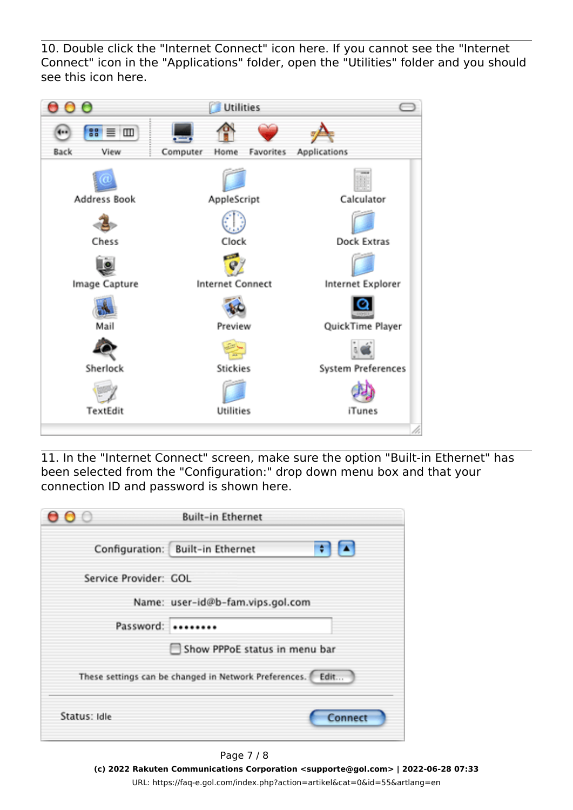10. Double click the "Internet Connect" icon here. If you cannot see the "Internet Connect" icon in the "Applications" folder, open the "Utilities" folder and you should see this icon here.



11. In the "Internet Connect" screen, make sure the option "Built-in Ethernet" has been selected from the "Configuration:" drop down menu box and that your connection ID and password is shown here.

| 000          | <b>Built-in Ethernet</b>                                       |
|--------------|----------------------------------------------------------------|
|              | 8 E<br>Configuration: Built-in Ethernet                        |
|              | Service Provider: GOL                                          |
|              | Name: user-id@b-fam.vips.gol.com                               |
|              | Password:                                                      |
|              | Show PPPoE status in menu bar                                  |
|              | These settings can be changed in Network Preferences. [ Edit ] |
| Status: Idle | Connect                                                        |

Page 7 / 8 **(c) 2022 Rakuten Communications Corporation <supporte@gol.com> | 2022-06-28 07:33** [URL: https://faq-e.gol.com/index.php?action=artikel&cat=0&id=55&artlang=en](https://faq-e.gol.com/index.php?action=artikel&cat=0&id=55&artlang=en)